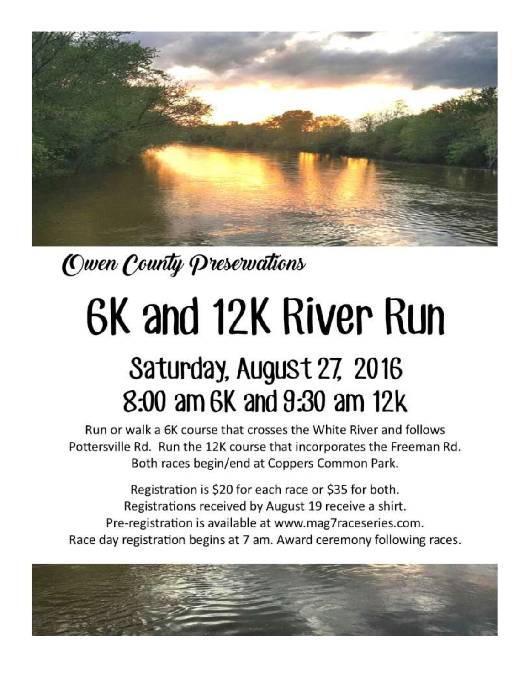

Owen County Preservations

## 6K and 12K River Run

## Saturday, August 27, 2016 8:00 am 6K and 9:30 am 12k

Run or walk a 6K course that crosses the White River and follows Pottersville Rd. Run the 12K course that incorporates the Freeman Rd. Both races begin/end at Coppers Common Park.

Registration is \$20 for each race or \$35 for both. Registrations received by August 19 receive a shirt. Pre-registration is available at www.mag7raceseries.com. Race day registration begins at 7 am. Award ceremony following races.